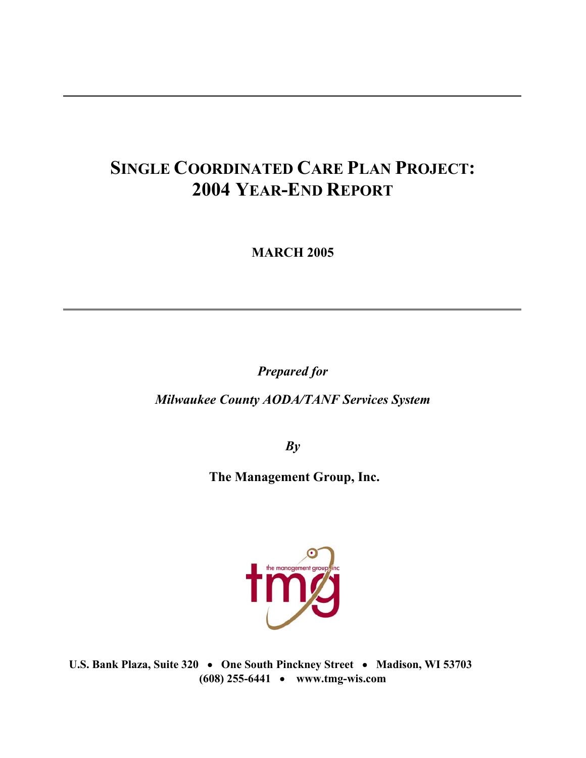# **SINGLE COORDINATED CARE PLAN PROJECT: 2004 YEAR-END REPORT**

**MARCH 2005** 

*Prepared for* 

*Milwaukee County AODA/TANF Services System* 

*By* 

 **The Management Group, Inc.** 



**U.S. Bank Plaza, Suite 320** • **One South Pinckney Street** • **Madison, WI 53703 (608) 255-6441** • **www.tmg-wis.com**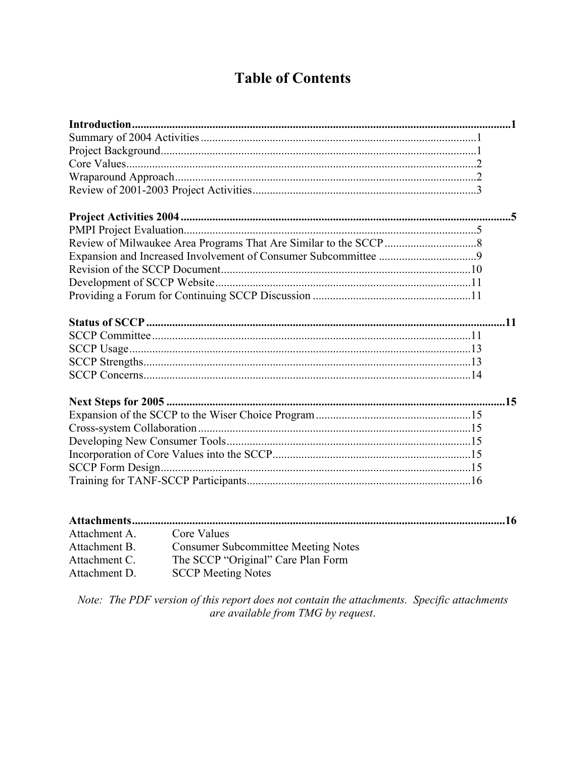# **Table of Contents**

| Attachment A. | Core Values                                |
|---------------|--------------------------------------------|
| Attachment B. | <b>Consumer Subcommittee Meeting Notes</b> |
| Attachment C. | The SCCP "Original" Care Plan Form         |
| Attachment D. | <b>SCCP Meeting Notes</b>                  |

Note: The PDF version of this report does not contain the attachments. Specific attachments<br>are available from TMG by request.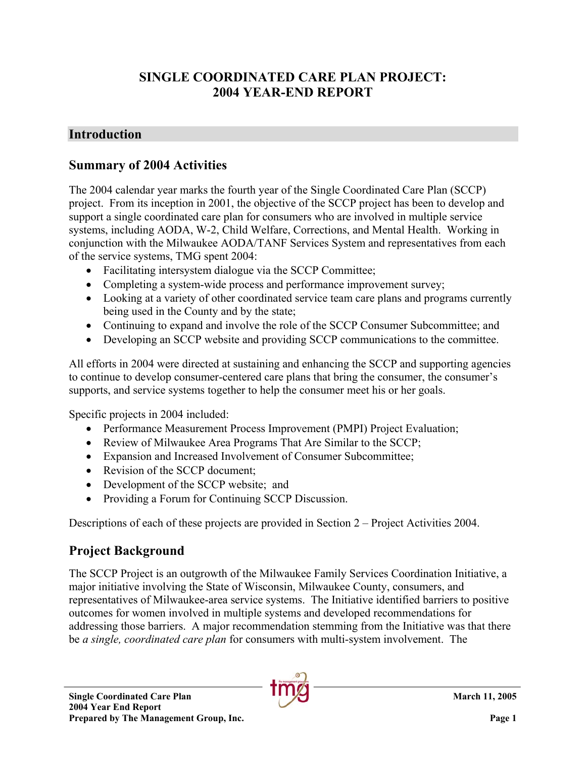# **SINGLE COORDINATED CARE PLAN PROJECT: 2004 YEAR-END REPORT**

### **Introduction**

### **Summary of 2004 Activities**

The 2004 calendar year marks the fourth year of the Single Coordinated Care Plan (SCCP) project. From its inception in 2001, the objective of the SCCP project has been to develop and support a single coordinated care plan for consumers who are involved in multiple service systems, including AODA, W-2, Child Welfare, Corrections, and Mental Health. Working in conjunction with the Milwaukee AODA/TANF Services System and representatives from each of the service systems, TMG spent 2004:

- Facilitating intersystem dialogue via the SCCP Committee;
- Completing a system-wide process and performance improvement survey;
- Looking at a variety of other coordinated service team care plans and programs currently being used in the County and by the state;
- Continuing to expand and involve the role of the SCCP Consumer Subcommittee; and
- Developing an SCCP website and providing SCCP communications to the committee.

All efforts in 2004 were directed at sustaining and enhancing the SCCP and supporting agencies to continue to develop consumer-centered care plans that bring the consumer, the consumer's supports, and service systems together to help the consumer meet his or her goals.

Specific projects in 2004 included:

- Performance Measurement Process Improvement (PMPI) Project Evaluation;
- Review of Milwaukee Area Programs That Are Similar to the SCCP;
- Expansion and Increased Involvement of Consumer Subcommittee;
- Revision of the SCCP document:
- Development of the SCCP website; and
- Providing a Forum for Continuing SCCP Discussion.

Descriptions of each of these projects are provided in Section 2 – Project Activities 2004.

# **Project Background**

The SCCP Project is an outgrowth of the Milwaukee Family Services Coordination Initiative, a major initiative involving the State of Wisconsin, Milwaukee County, consumers, and representatives of Milwaukee-area service systems. The Initiative identified barriers to positive outcomes for women involved in multiple systems and developed recommendations for addressing those barriers. A major recommendation stemming from the Initiative was that there be *a single, coordinated care plan* for consumers with multi-system involvement. The

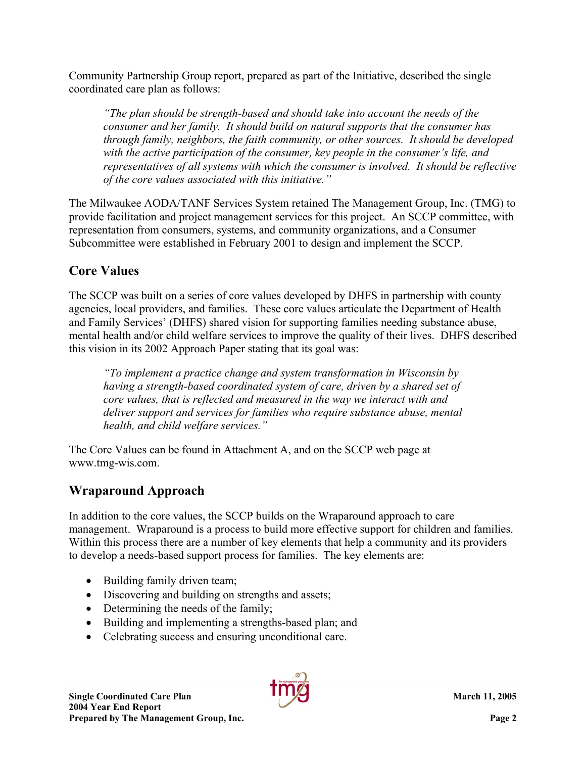Community Partnership Group report, prepared as part of the Initiative, described the single coordinated care plan as follows:

*"The plan should be strength-based and should take into account the needs of the consumer and her family. It should build on natural supports that the consumer has through family, neighbors, the faith community, or other sources. It should be developed with the active participation of the consumer, key people in the consumer's life, and representatives of all systems with which the consumer is involved. It should be reflective of the core values associated with this initiative."* 

The Milwaukee AODA/TANF Services System retained The Management Group, Inc. (TMG) to provide facilitation and project management services for this project. An SCCP committee, with representation from consumers, systems, and community organizations, and a Consumer Subcommittee were established in February 2001 to design and implement the SCCP.

# **Core Values**

The SCCP was built on a series of core values developed by DHFS in partnership with county agencies, local providers, and families. These core values articulate the Department of Health and Family Services' (DHFS) shared vision for supporting families needing substance abuse, mental health and/or child welfare services to improve the quality of their lives. DHFS described this vision in its 2002 Approach Paper stating that its goal was:

*"To implement a practice change and system transformation in Wisconsin by having a strength-based coordinated system of care, driven by a shared set of core values, that is reflected and measured in the way we interact with and deliver support and services for families who require substance abuse, mental health, and child welfare services."* 

The Core Values can be found in Attachment A, and on the SCCP web page at www.tmg-wis.com.

# **Wraparound Approach**

In addition to the core values, the SCCP builds on the Wraparound approach to care management. Wraparound is a process to build more effective support for children and families. Within this process there are a number of key elements that help a community and its providers to develop a needs-based support process for families. The key elements are:

- Building family driven team;
- Discovering and building on strengths and assets;
- Determining the needs of the family;
- Building and implementing a strengths-based plan; and
- Celebrating success and ensuring unconditional care.

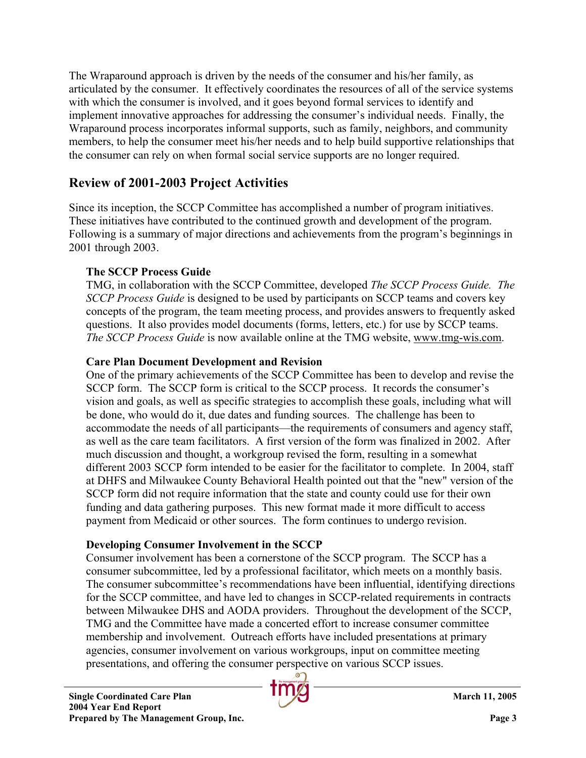The Wraparound approach is driven by the needs of the consumer and his/her family, as articulated by the consumer. It effectively coordinates the resources of all of the service systems with which the consumer is involved, and it goes beyond formal services to identify and implement innovative approaches for addressing the consumer's individual needs. Finally, the Wraparound process incorporates informal supports, such as family, neighbors, and community members, to help the consumer meet his/her needs and to help build supportive relationships that the consumer can rely on when formal social service supports are no longer required.

# **Review of 2001-2003 Project Activities**

Since its inception, the SCCP Committee has accomplished a number of program initiatives. These initiatives have contributed to the continued growth and development of the program. Following is a summary of major directions and achievements from the program's beginnings in 2001 through 2003.

### **The SCCP Process Guide**

TMG, in collaboration with the SCCP Committee, developed *The SCCP Process Guide. The SCCP Process Guide* is designed to be used by participants on SCCP teams and covers key concepts of the program, the team meeting process, and provides answers to frequently asked questions. It also provides model documents (forms, letters, etc.) for use by SCCP teams. *The SCCP Process Guide* is now available online at the TMG website, www.tmg-wis.com.

### **Care Plan Document Development and Revision**

One of the primary achievements of the SCCP Committee has been to develop and revise the SCCP form. The SCCP form is critical to the SCCP process. It records the consumer's vision and goals, as well as specific strategies to accomplish these goals, including what will be done, who would do it, due dates and funding sources. The challenge has been to accommodate the needs of all participants—the requirements of consumers and agency staff, as well as the care team facilitators. A first version of the form was finalized in 2002. After much discussion and thought, a workgroup revised the form, resulting in a somewhat different 2003 SCCP form intended to be easier for the facilitator to complete. In 2004, staff at DHFS and Milwaukee County Behavioral Health pointed out that the "new" version of the SCCP form did not require information that the state and county could use for their own funding and data gathering purposes. This new format made it more difficult to access payment from Medicaid or other sources. The form continues to undergo revision.

### **Developing Consumer Involvement in the SCCP**

Consumer involvement has been a cornerstone of the SCCP program. The SCCP has a consumer subcommittee, led by a professional facilitator, which meets on a monthly basis. The consumer subcommittee's recommendations have been influential, identifying directions for the SCCP committee, and have led to changes in SCCP-related requirements in contracts between Milwaukee DHS and AODA providers. Throughout the development of the SCCP, TMG and the Committee have made a concerted effort to increase consumer committee membership and involvement. Outreach efforts have included presentations at primary agencies, consumer involvement on various workgroups, input on committee meeting presentations, and offering the consumer perspective on various SCCP issues.

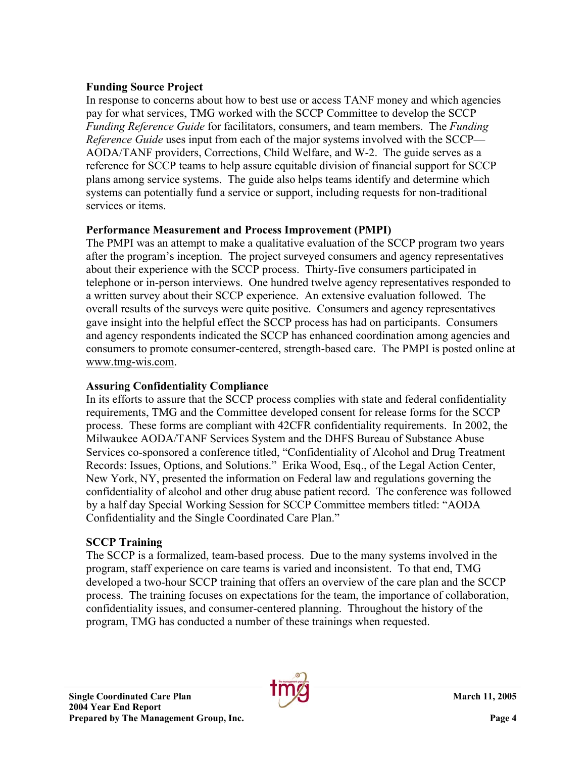#### **Funding Source Project**

In response to concerns about how to best use or access TANF money and which agencies pay for what services, TMG worked with the SCCP Committee to develop the SCCP *Funding Reference Guide* for facilitators, consumers, and team members. The *Funding Reference Guide* uses input from each of the major systems involved with the SCCP— AODA/TANF providers, Corrections, Child Welfare, and W-2. The guide serves as a reference for SCCP teams to help assure equitable division of financial support for SCCP plans among service systems. The guide also helps teams identify and determine which systems can potentially fund a service or support, including requests for non-traditional services or items.

#### **Performance Measurement and Process Improvement (PMPI)**

The PMPI was an attempt to make a qualitative evaluation of the SCCP program two years after the program's inception. The project surveyed consumers and agency representatives about their experience with the SCCP process. Thirty-five consumers participated in telephone or in-person interviews. One hundred twelve agency representatives responded to a written survey about their SCCP experience. An extensive evaluation followed. The overall results of the surveys were quite positive. Consumers and agency representatives gave insight into the helpful effect the SCCP process has had on participants. Consumers and agency respondents indicated the SCCP has enhanced coordination among agencies and consumers to promote consumer-centered, strength-based care. The PMPI is posted online at www.tmg-wis.com.

#### **Assuring Confidentiality Compliance**

In its efforts to assure that the SCCP process complies with state and federal confidentiality requirements, TMG and the Committee developed consent for release forms for the SCCP process. These forms are compliant with 42CFR confidentiality requirements. In 2002, the Milwaukee AODA/TANF Services System and the DHFS Bureau of Substance Abuse Services co-sponsored a conference titled, "Confidentiality of Alcohol and Drug Treatment Records: Issues, Options, and Solutions." Erika Wood, Esq., of the Legal Action Center, New York, NY, presented the information on Federal law and regulations governing the confidentiality of alcohol and other drug abuse patient record. The conference was followed by a half day Special Working Session for SCCP Committee members titled: "AODA Confidentiality and the Single Coordinated Care Plan."

#### **SCCP Training**

The SCCP is a formalized, team-based process. Due to the many systems involved in the program, staff experience on care teams is varied and inconsistent. To that end, TMG developed a two-hour SCCP training that offers an overview of the care plan and the SCCP process. The training focuses on expectations for the team, the importance of collaboration, confidentiality issues, and consumer-centered planning. Throughout the history of the program, TMG has conducted a number of these trainings when requested.

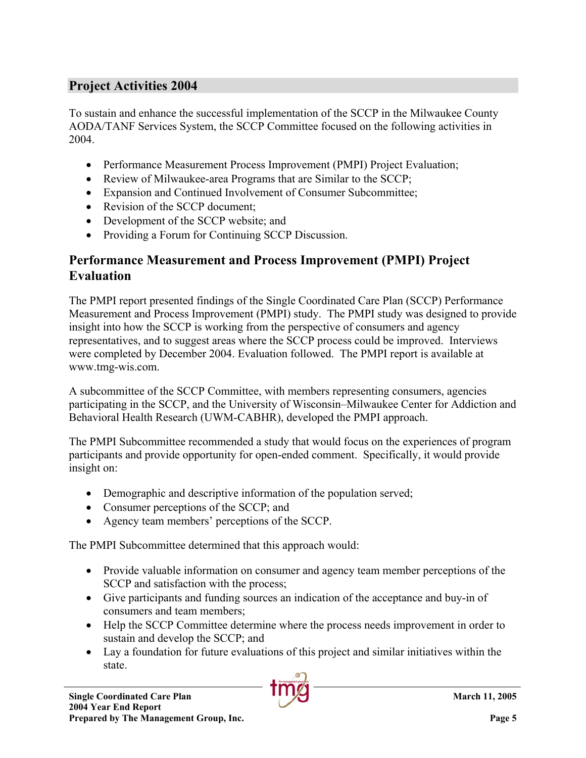### **Project Activities 2004**

To sustain and enhance the successful implementation of the SCCP in the Milwaukee County AODA/TANF Services System, the SCCP Committee focused on the following activities in 2004.

- Performance Measurement Process Improvement (PMPI) Project Evaluation;
- Review of Milwaukee-area Programs that are Similar to the SCCP;
- Expansion and Continued Involvement of Consumer Subcommittee;
- Revision of the SCCP document:
- Development of the SCCP website; and
- Providing a Forum for Continuing SCCP Discussion.

#### **Performance Measurement and Process Improvement (PMPI) Project Evaluation**

The PMPI report presented findings of the Single Coordinated Care Plan (SCCP) Performance Measurement and Process Improvement (PMPI) study. The PMPI study was designed to provide insight into how the SCCP is working from the perspective of consumers and agency representatives, and to suggest areas where the SCCP process could be improved. Interviews were completed by December 2004. Evaluation followed. The PMPI report is available at www.tmg-wis.com.

A subcommittee of the SCCP Committee, with members representing consumers, agencies participating in the SCCP, and the University of Wisconsin–Milwaukee Center for Addiction and Behavioral Health Research (UWM-CABHR), developed the PMPI approach.

The PMPI Subcommittee recommended a study that would focus on the experiences of program participants and provide opportunity for open-ended comment. Specifically, it would provide insight on:

- Demographic and descriptive information of the population served;
- Consumer perceptions of the SCCP; and
- Agency team members' perceptions of the SCCP.

The PMPI Subcommittee determined that this approach would:

- Provide valuable information on consumer and agency team member perceptions of the SCCP and satisfaction with the process;
- Give participants and funding sources an indication of the acceptance and buy-in of consumers and team members;
- Help the SCCP Committee determine where the process needs improvement in order to sustain and develop the SCCP; and
- Lay a foundation for future evaluations of this project and similar initiatives within the state.

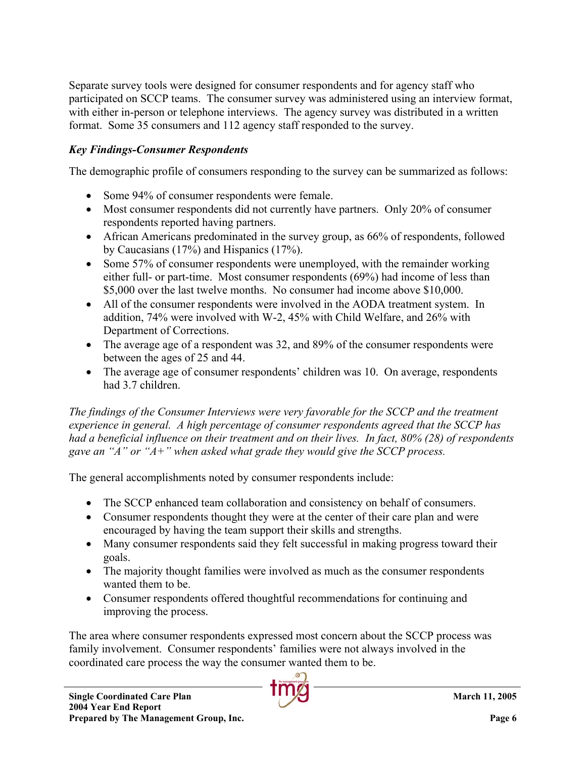Separate survey tools were designed for consumer respondents and for agency staff who participated on SCCP teams. The consumer survey was administered using an interview format, with either in-person or telephone interviews. The agency survey was distributed in a written format. Some 35 consumers and 112 agency staff responded to the survey.

### *Key Findings-Consumer Respondents*

The demographic profile of consumers responding to the survey can be summarized as follows:

- Some 94% of consumer respondents were female.
- Most consumer respondents did not currently have partners. Only 20% of consumer respondents reported having partners.
- African Americans predominated in the survey group, as 66% of respondents, followed by Caucasians (17%) and Hispanics (17%).
- Some 57% of consumer respondents were unemployed, with the remainder working either full- or part-time. Most consumer respondents (69%) had income of less than \$5,000 over the last twelve months. No consumer had income above \$10,000.
- All of the consumer respondents were involved in the AODA treatment system. In addition, 74% were involved with W-2, 45% with Child Welfare, and 26% with Department of Corrections.
- The average age of a respondent was 32, and 89% of the consumer respondents were between the ages of 25 and 44.
- The average age of consumer respondents' children was 10. On average, respondents had 3.7 children.

*The findings of the Consumer Interviews were very favorable for the SCCP and the treatment experience in general. A high percentage of consumer respondents agreed that the SCCP has had a beneficial influence on their treatment and on their lives. In fact, 80% (28) of respondents gave an "A" or "A+" when asked what grade they would give the SCCP process.* 

The general accomplishments noted by consumer respondents include:

- The SCCP enhanced team collaboration and consistency on behalf of consumers.
- Consumer respondents thought they were at the center of their care plan and were encouraged by having the team support their skills and strengths.
- Many consumer respondents said they felt successful in making progress toward their goals.
- The majority thought families were involved as much as the consumer respondents wanted them to be.
- Consumer respondents offered thoughtful recommendations for continuing and improving the process.

The area where consumer respondents expressed most concern about the SCCP process was family involvement. Consumer respondents' families were not always involved in the coordinated care process the way the consumer wanted them to be.

**2004 Year End Report**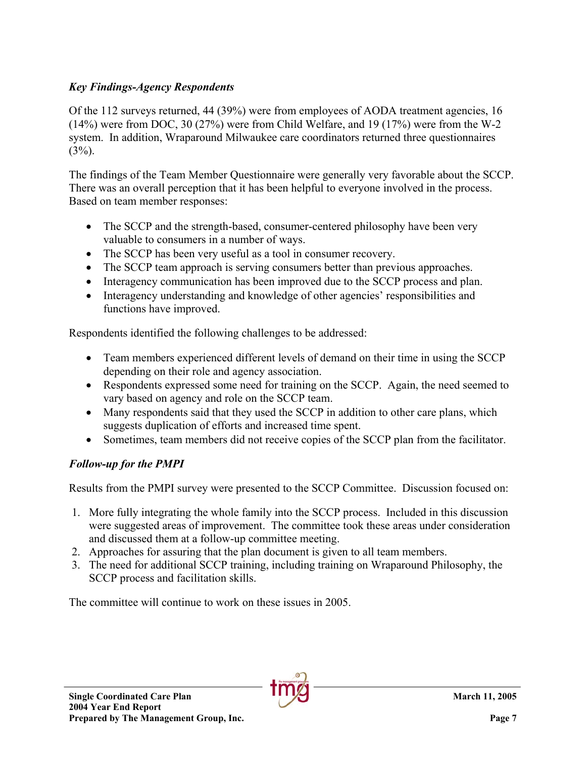#### *Key Findings-Agency Respondents*

Of the 112 surveys returned, 44 (39%) were from employees of AODA treatment agencies, 16 (14%) were from DOC, 30 (27%) were from Child Welfare, and 19 (17%) were from the W-2 system. In addition, Wraparound Milwaukee care coordinators returned three questionnaires  $(3%)$ .

The findings of the Team Member Questionnaire were generally very favorable about the SCCP. There was an overall perception that it has been helpful to everyone involved in the process. Based on team member responses:

- The SCCP and the strength-based, consumer-centered philosophy have been very valuable to consumers in a number of ways.
- The SCCP has been very useful as a tool in consumer recovery.
- The SCCP team approach is serving consumers better than previous approaches.
- Interagency communication has been improved due to the SCCP process and plan.
- Interagency understanding and knowledge of other agencies' responsibilities and functions have improved.

Respondents identified the following challenges to be addressed:

- Team members experienced different levels of demand on their time in using the SCCP depending on their role and agency association.
- Respondents expressed some need for training on the SCCP. Again, the need seemed to vary based on agency and role on the SCCP team.
- Many respondents said that they used the SCCP in addition to other care plans, which suggests duplication of efforts and increased time spent.
- Sometimes, team members did not receive copies of the SCCP plan from the facilitator.

### *Follow-up for the PMPI*

Results from the PMPI survey were presented to the SCCP Committee. Discussion focused on:

- 1. More fully integrating the whole family into the SCCP process. Included in this discussion were suggested areas of improvement. The committee took these areas under consideration and discussed them at a follow-up committee meeting.
- 2. Approaches for assuring that the plan document is given to all team members.
- 3. The need for additional SCCP training, including training on Wraparound Philosophy, the SCCP process and facilitation skills.

The committee will continue to work on these issues in 2005.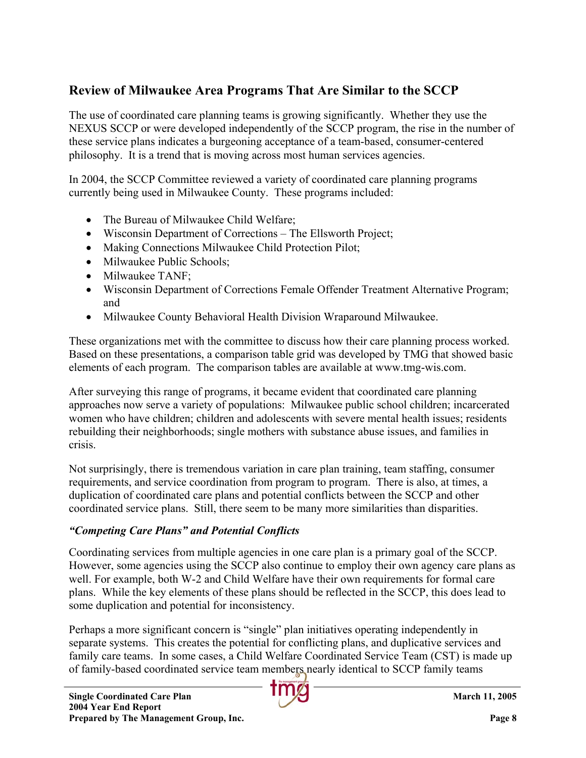# **Review of Milwaukee Area Programs That Are Similar to the SCCP**

The use of coordinated care planning teams is growing significantly. Whether they use the NEXUS SCCP or were developed independently of the SCCP program, the rise in the number of these service plans indicates a burgeoning acceptance of a team-based, consumer-centered philosophy. It is a trend that is moving across most human services agencies.

In 2004, the SCCP Committee reviewed a variety of coordinated care planning programs currently being used in Milwaukee County. These programs included:

- The Bureau of Milwaukee Child Welfare:
- Wisconsin Department of Corrections The Ellsworth Project;
- Making Connections Milwaukee Child Protection Pilot;
- Milwaukee Public Schools;
- Milwaukee TANF:
- Wisconsin Department of Corrections Female Offender Treatment Alternative Program; and
- Milwaukee County Behavioral Health Division Wraparound Milwaukee.

These organizations met with the committee to discuss how their care planning process worked. Based on these presentations, a comparison table grid was developed by TMG that showed basic elements of each program. The comparison tables are available at www.tmg-wis.com.

After surveying this range of programs, it became evident that coordinated care planning approaches now serve a variety of populations: Milwaukee public school children; incarcerated women who have children; children and adolescents with severe mental health issues; residents rebuilding their neighborhoods; single mothers with substance abuse issues, and families in crisis.

Not surprisingly, there is tremendous variation in care plan training, team staffing, consumer requirements, and service coordination from program to program. There is also, at times, a duplication of coordinated care plans and potential conflicts between the SCCP and other coordinated service plans. Still, there seem to be many more similarities than disparities.

#### *"Competing Care Plans" and Potential Conflicts*

Coordinating services from multiple agencies in one care plan is a primary goal of the SCCP. However, some agencies using the SCCP also continue to employ their own agency care plans as well. For example, both W-2 and Child Welfare have their own requirements for formal care plans. While the key elements of these plans should be reflected in the SCCP, this does lead to some duplication and potential for inconsistency.

Perhaps a more significant concern is "single" plan initiatives operating independently in separate systems. This creates the potential for conflicting plans, and duplicative services and family care teams. In some cases, a Child Welfare Coordinated Service Team (CST) is made up of family-based coordinated service team members nearly identical to SCCP family teams

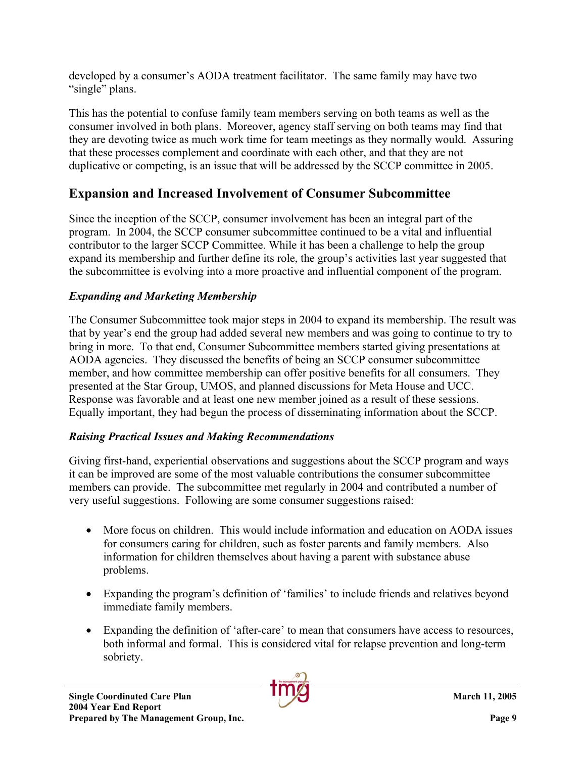developed by a consumer's AODA treatment facilitator. The same family may have two "single" plans.

This has the potential to confuse family team members serving on both teams as well as the consumer involved in both plans. Moreover, agency staff serving on both teams may find that they are devoting twice as much work time for team meetings as they normally would. Assuring that these processes complement and coordinate with each other, and that they are not duplicative or competing, is an issue that will be addressed by the SCCP committee in 2005.

# **Expansion and Increased Involvement of Consumer Subcommittee**

Since the inception of the SCCP, consumer involvement has been an integral part of the program. In 2004, the SCCP consumer subcommittee continued to be a vital and influential contributor to the larger SCCP Committee. While it has been a challenge to help the group expand its membership and further define its role, the group's activities last year suggested that the subcommittee is evolving into a more proactive and influential component of the program.

### *Expanding and Marketing Membership*

The Consumer Subcommittee took major steps in 2004 to expand its membership. The result was that by year's end the group had added several new members and was going to continue to try to bring in more. To that end, Consumer Subcommittee members started giving presentations at AODA agencies. They discussed the benefits of being an SCCP consumer subcommittee member, and how committee membership can offer positive benefits for all consumers. They presented at the Star Group, UMOS, and planned discussions for Meta House and UCC. Response was favorable and at least one new member joined as a result of these sessions. Equally important, they had begun the process of disseminating information about the SCCP.

### *Raising Practical Issues and Making Recommendations*

Giving first-hand, experiential observations and suggestions about the SCCP program and ways it can be improved are some of the most valuable contributions the consumer subcommittee members can provide. The subcommittee met regularly in 2004 and contributed a number of very useful suggestions. Following are some consumer suggestions raised:

- More focus on children. This would include information and education on AODA issues for consumers caring for children, such as foster parents and family members. Also information for children themselves about having a parent with substance abuse problems.
- Expanding the program's definition of 'families' to include friends and relatives beyond immediate family members.
- Expanding the definition of 'after-care' to mean that consumers have access to resources, both informal and formal. This is considered vital for relapse prevention and long-term sobriety.

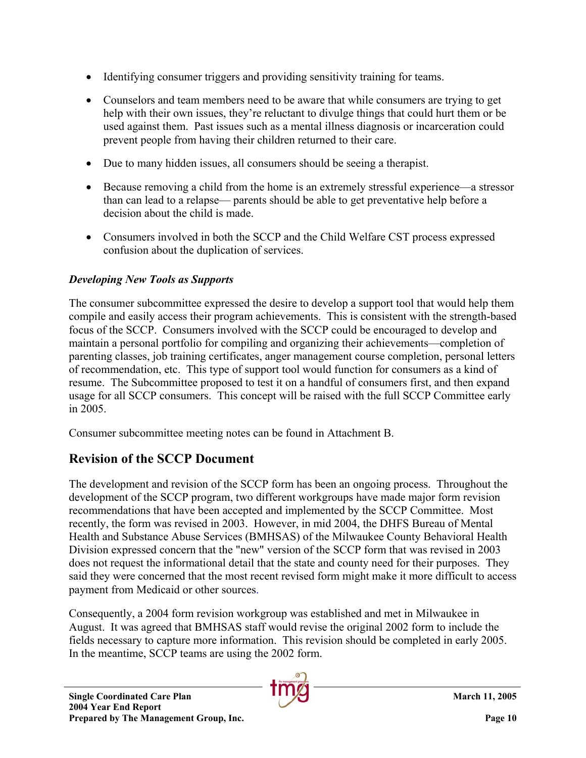- Identifying consumer triggers and providing sensitivity training for teams.
- Counselors and team members need to be aware that while consumers are trying to get help with their own issues, they're reluctant to divulge things that could hurt them or be used against them. Past issues such as a mental illness diagnosis or incarceration could prevent people from having their children returned to their care.
- Due to many hidden issues, all consumers should be seeing a therapist.
- Because removing a child from the home is an extremely stressful experience—a stressor than can lead to a relapse— parents should be able to get preventative help before a decision about the child is made.
- Consumers involved in both the SCCP and the Child Welfare CST process expressed confusion about the duplication of services.

## *Developing New Tools as Supports*

The consumer subcommittee expressed the desire to develop a support tool that would help them compile and easily access their program achievements. This is consistent with the strength-based focus of the SCCP. Consumers involved with the SCCP could be encouraged to develop and maintain a personal portfolio for compiling and organizing their achievements—completion of parenting classes, job training certificates, anger management course completion, personal letters of recommendation, etc. This type of support tool would function for consumers as a kind of resume. The Subcommittee proposed to test it on a handful of consumers first, and then expand usage for all SCCP consumers. This concept will be raised with the full SCCP Committee early in 2005.

Consumer subcommittee meeting notes can be found in Attachment B.

# **Revision of the SCCP Document**

The development and revision of the SCCP form has been an ongoing process. Throughout the development of the SCCP program, two different workgroups have made major form revision recommendations that have been accepted and implemented by the SCCP Committee. Most recently, the form was revised in 2003. However, in mid 2004, the DHFS Bureau of Mental Health and Substance Abuse Services (BMHSAS) of the Milwaukee County Behavioral Health Division expressed concern that the "new" version of the SCCP form that was revised in 2003 does not request the informational detail that the state and county need for their purposes. They said they were concerned that the most recent revised form might make it more difficult to access payment from Medicaid or other sources.

Consequently, a 2004 form revision workgroup was established and met in Milwaukee in August. It was agreed that BMHSAS staff would revise the original 2002 form to include the fields necessary to capture more information. This revision should be completed in early 2005. In the meantime, SCCP teams are using the 2002 form.

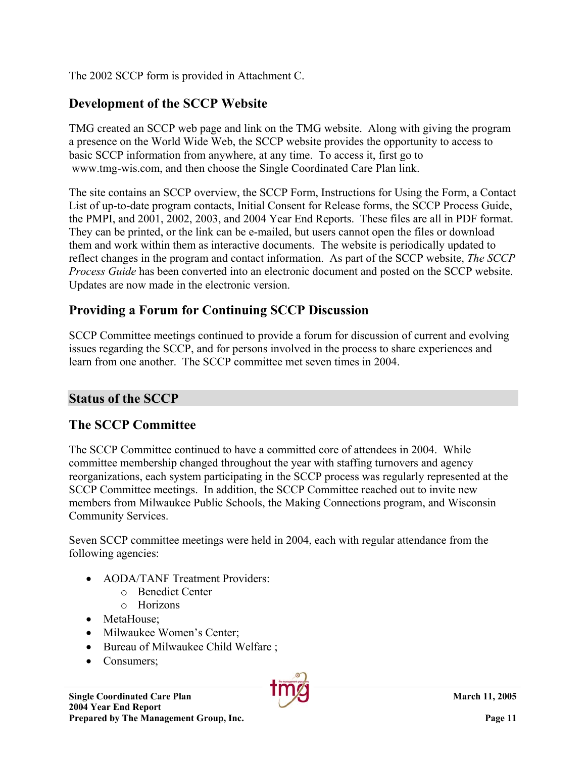The 2002 SCCP form is provided in Attachment C.

### **Development of the SCCP Website**

TMG created an SCCP web page and link on the TMG website. Along with giving the program a presence on the World Wide Web, the SCCP website provides the opportunity to access to basic SCCP information from anywhere, at any time. To access it, first go to www.tmg-wis.com, and then choose the Single Coordinated Care Plan link.

The site contains an SCCP overview, the SCCP Form, Instructions for Using the Form, a Contact List of up-to-date program contacts, Initial Consent for Release forms, the SCCP Process Guide, the PMPI, and 2001, 2002, 2003, and 2004 Year End Reports. These files are all in PDF format. They can be printed, or the link can be e-mailed, but users cannot open the files or download them and work within them as interactive documents. The website is periodically updated to reflect changes in the program and contact information. As part of the SCCP website, *The SCCP Process Guide* has been converted into an electronic document and posted on the SCCP website. Updates are now made in the electronic version.

### **Providing a Forum for Continuing SCCP Discussion**

SCCP Committee meetings continued to provide a forum for discussion of current and evolving issues regarding the SCCP, and for persons involved in the process to share experiences and learn from one another. The SCCP committee met seven times in 2004.

### **Status of the SCCP**

### **The SCCP Committee**

The SCCP Committee continued to have a committed core of attendees in 2004. While committee membership changed throughout the year with staffing turnovers and agency reorganizations, each system participating in the SCCP process was regularly represented at the SCCP Committee meetings. In addition, the SCCP Committee reached out to invite new members from Milwaukee Public Schools, the Making Connections program, and Wisconsin Community Services.

Seven SCCP committee meetings were held in 2004, each with regular attendance from the following agencies:

- AODA/TANF Treatment Providers:
	- o Benedict Center
	- o Horizons
- MetaHouse:
- Milwaukee Women's Center:
- Bureau of Milwaukee Child Welfare ;
- Consumers;

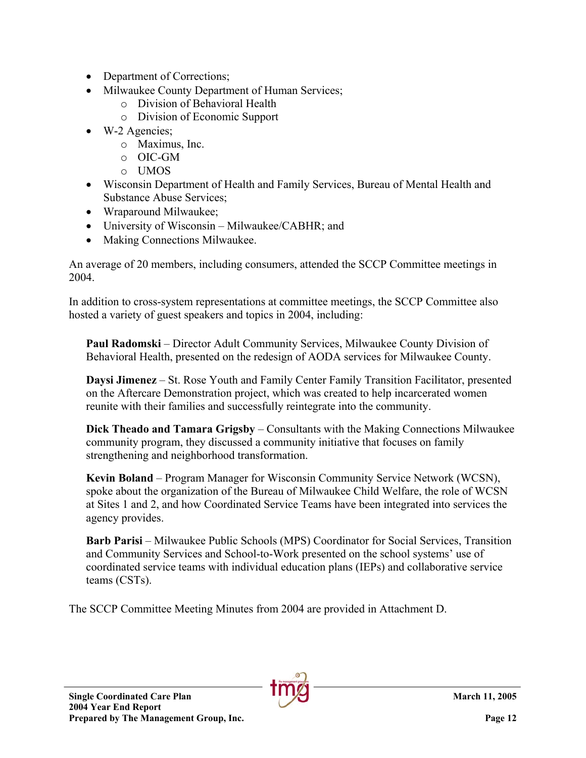- Department of Corrections;
- Milwaukee County Department of Human Services;
	- o Division of Behavioral Health
	- o Division of Economic Support
- W-2 Agencies;
	- o Maximus, Inc.
	- o OIC-GM
	- o UMOS
- Wisconsin Department of Health and Family Services, Bureau of Mental Health and Substance Abuse Services;
- Wraparound Milwaukee:
- University of Wisconsin Milwaukee/CABHR; and
- Making Connections Milwaukee.

An average of 20 members, including consumers, attended the SCCP Committee meetings in 2004.

In addition to cross-system representations at committee meetings, the SCCP Committee also hosted a variety of guest speakers and topics in 2004, including:

**Paul Radomski** – Director Adult Community Services, Milwaukee County Division of Behavioral Health, presented on the redesign of AODA services for Milwaukee County.

**Daysi Jimenez** – St. Rose Youth and Family Center Family Transition Facilitator, presented on the Aftercare Demonstration project, which was created to help incarcerated women reunite with their families and successfully reintegrate into the community.

**Dick Theado and Tamara Grigsby** – Consultants with the Making Connections Milwaukee community program, they discussed a community initiative that focuses on family strengthening and neighborhood transformation.

**Kevin Boland** – Program Manager for Wisconsin Community Service Network (WCSN), spoke about the organization of the Bureau of Milwaukee Child Welfare, the role of WCSN at Sites 1 and 2, and how Coordinated Service Teams have been integrated into services the agency provides.

**Barb Parisi** – Milwaukee Public Schools (MPS) Coordinator for Social Services, Transition and Community Services and School-to-Work presented on the school systems' use of coordinated service teams with individual education plans (IEPs) and collaborative service teams (CSTs).

The SCCP Committee Meeting Minutes from 2004 are provided in Attachment D.

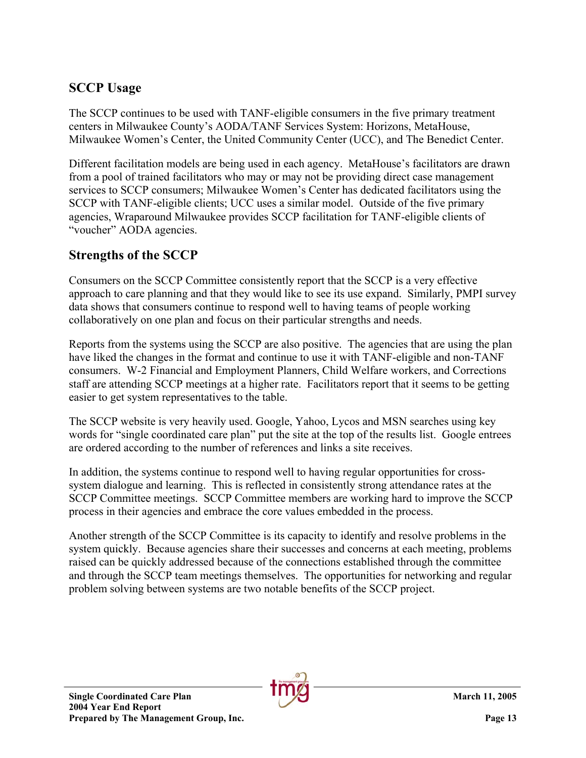## **SCCP Usage**

The SCCP continues to be used with TANF-eligible consumers in the five primary treatment centers in Milwaukee County's AODA/TANF Services System: Horizons, MetaHouse, Milwaukee Women's Center, the United Community Center (UCC), and The Benedict Center.

Different facilitation models are being used in each agency. MetaHouse's facilitators are drawn from a pool of trained facilitators who may or may not be providing direct case management services to SCCP consumers; Milwaukee Women's Center has dedicated facilitators using the SCCP with TANF-eligible clients; UCC uses a similar model. Outside of the five primary agencies, Wraparound Milwaukee provides SCCP facilitation for TANF-eligible clients of "voucher" AODA agencies.

### **Strengths of the SCCP**

Consumers on the SCCP Committee consistently report that the SCCP is a very effective approach to care planning and that they would like to see its use expand. Similarly, PMPI survey data shows that consumers continue to respond well to having teams of people working collaboratively on one plan and focus on their particular strengths and needs.

Reports from the systems using the SCCP are also positive. The agencies that are using the plan have liked the changes in the format and continue to use it with TANF-eligible and non-TANF consumers. W-2 Financial and Employment Planners, Child Welfare workers, and Corrections staff are attending SCCP meetings at a higher rate. Facilitators report that it seems to be getting easier to get system representatives to the table.

The SCCP website is very heavily used. Google, Yahoo, Lycos and MSN searches using key words for "single coordinated care plan" put the site at the top of the results list. Google entrees are ordered according to the number of references and links a site receives.

In addition, the systems continue to respond well to having regular opportunities for crosssystem dialogue and learning. This is reflected in consistently strong attendance rates at the SCCP Committee meetings. SCCP Committee members are working hard to improve the SCCP process in their agencies and embrace the core values embedded in the process.

Another strength of the SCCP Committee is its capacity to identify and resolve problems in the system quickly. Because agencies share their successes and concerns at each meeting, problems raised can be quickly addressed because of the connections established through the committee and through the SCCP team meetings themselves. The opportunities for networking and regular problem solving between systems are two notable benefits of the SCCP project.

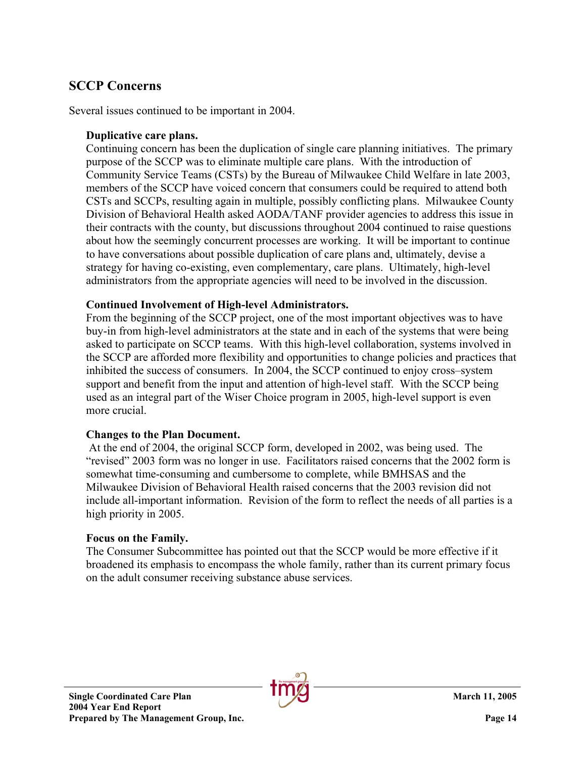### **SCCP Concerns**

Several issues continued to be important in 2004.

#### **Duplicative care plans.**

Continuing concern has been the duplication of single care planning initiatives. The primary purpose of the SCCP was to eliminate multiple care plans. With the introduction of Community Service Teams (CSTs) by the Bureau of Milwaukee Child Welfare in late 2003, members of the SCCP have voiced concern that consumers could be required to attend both CSTs and SCCPs, resulting again in multiple, possibly conflicting plans. Milwaukee County Division of Behavioral Health asked AODA/TANF provider agencies to address this issue in their contracts with the county, but discussions throughout 2004 continued to raise questions about how the seemingly concurrent processes are working. It will be important to continue to have conversations about possible duplication of care plans and, ultimately, devise a strategy for having co-existing, even complementary, care plans. Ultimately, high-level administrators from the appropriate agencies will need to be involved in the discussion.

#### **Continued Involvement of High-level Administrators.**

From the beginning of the SCCP project, one of the most important objectives was to have buy-in from high-level administrators at the state and in each of the systems that were being asked to participate on SCCP teams. With this high-level collaboration, systems involved in the SCCP are afforded more flexibility and opportunities to change policies and practices that inhibited the success of consumers. In 2004, the SCCP continued to enjoy cross–system support and benefit from the input and attention of high-level staff. With the SCCP being used as an integral part of the Wiser Choice program in 2005, high-level support is even more crucial.

#### **Changes to the Plan Document.**

At the end of 2004, the original SCCP form, developed in 2002, was being used. The "revised" 2003 form was no longer in use. Facilitators raised concerns that the 2002 form is somewhat time-consuming and cumbersome to complete, while BMHSAS and the Milwaukee Division of Behavioral Health raised concerns that the 2003 revision did not include all-important information. Revision of the form to reflect the needs of all parties is a high priority in 2005.

#### **Focus on the Family.**

The Consumer Subcommittee has pointed out that the SCCP would be more effective if it broadened its emphasis to encompass the whole family, rather than its current primary focus on the adult consumer receiving substance abuse services.

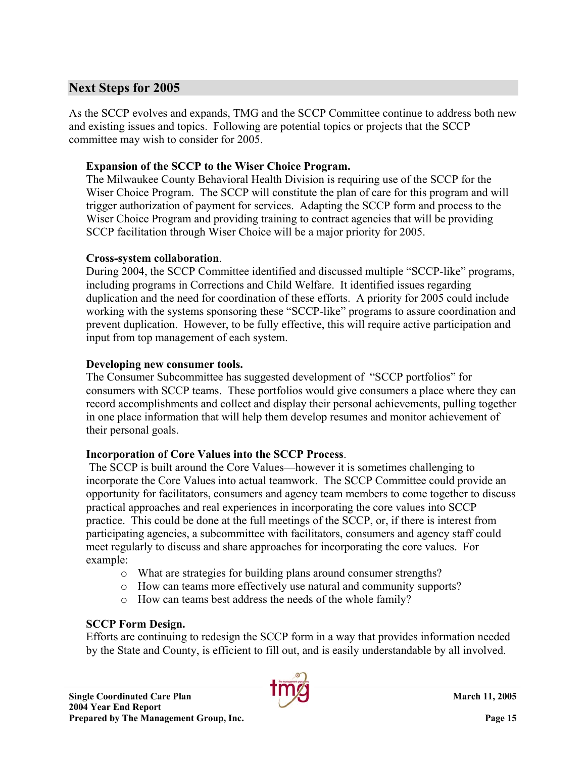### **Next Steps for 2005**

As the SCCP evolves and expands, TMG and the SCCP Committee continue to address both new and existing issues and topics. Following are potential topics or projects that the SCCP committee may wish to consider for 2005.

#### **Expansion of the SCCP to the Wiser Choice Program.**

The Milwaukee County Behavioral Health Division is requiring use of the SCCP for the Wiser Choice Program. The SCCP will constitute the plan of care for this program and will trigger authorization of payment for services. Adapting the SCCP form and process to the Wiser Choice Program and providing training to contract agencies that will be providing SCCP facilitation through Wiser Choice will be a major priority for 2005.

#### **Cross-system collaboration**.

During 2004, the SCCP Committee identified and discussed multiple "SCCP-like" programs, including programs in Corrections and Child Welfare. It identified issues regarding duplication and the need for coordination of these efforts. A priority for 2005 could include working with the systems sponsoring these "SCCP-like" programs to assure coordination and prevent duplication. However, to be fully effective, this will require active participation and input from top management of each system.

#### **Developing new consumer tools.**

The Consumer Subcommittee has suggested development of "SCCP portfolios" for consumers with SCCP teams. These portfolios would give consumers a place where they can record accomplishments and collect and display their personal achievements, pulling together in one place information that will help them develop resumes and monitor achievement of their personal goals.

### **Incorporation of Core Values into the SCCP Process**.

 The SCCP is built around the Core Values—however it is sometimes challenging to incorporate the Core Values into actual teamwork. The SCCP Committee could provide an opportunity for facilitators, consumers and agency team members to come together to discuss practical approaches and real experiences in incorporating the core values into SCCP practice. This could be done at the full meetings of the SCCP, or, if there is interest from participating agencies, a subcommittee with facilitators, consumers and agency staff could meet regularly to discuss and share approaches for incorporating the core values. For example:

- o What are strategies for building plans around consumer strengths?
- o How can teams more effectively use natural and community supports?
- o How can teams best address the needs of the whole family?

### **SCCP Form Design.**

Efforts are continuing to redesign the SCCP form in a way that provides information needed by the State and County, is efficient to fill out, and is easily understandable by all involved.